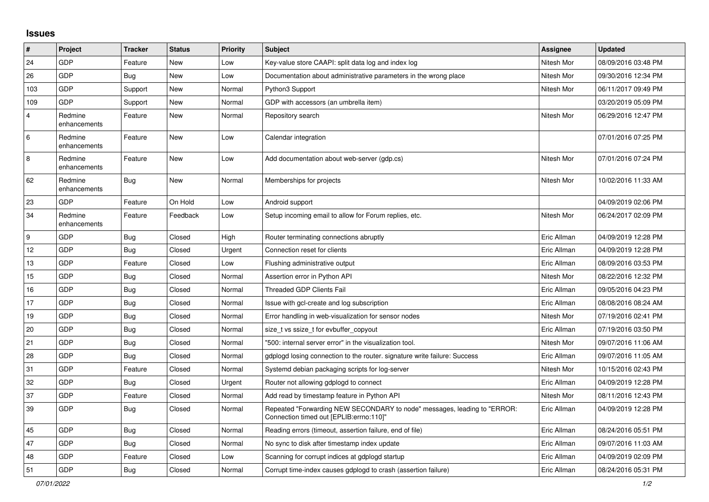## **Issues**

| $\sharp$       | Project                 | <b>Tracker</b> | <b>Status</b> | <b>Priority</b> | <b>Subject</b>                                                                                                      | Assignee    | <b>Updated</b>      |
|----------------|-------------------------|----------------|---------------|-----------------|---------------------------------------------------------------------------------------------------------------------|-------------|---------------------|
| 24             | GDP                     | Feature        | New           | Low             | Key-value store CAAPI: split data log and index log                                                                 | Nitesh Mor  | 08/09/2016 03:48 PM |
| 26             | GDP                     | <b>Bug</b>     | New           | Low             | Documentation about administrative parameters in the wrong place                                                    | Nitesh Mor  | 09/30/2016 12:34 PM |
| 103            | GDP                     | Support        | New           | Normal          | Python3 Support                                                                                                     | Nitesh Mor  | 06/11/2017 09:49 PM |
| 109            | GDP                     | Support        | New           | Normal          | GDP with accessors (an umbrella item)                                                                               |             | 03/20/2019 05:09 PM |
| $\overline{4}$ | Redmine<br>enhancements | Feature        | New           | Normal          | Repository search                                                                                                   | Nitesh Mor  | 06/29/2016 12:47 PM |
| 6              | Redmine<br>enhancements | Feature        | New           | Low             | Calendar integration                                                                                                |             | 07/01/2016 07:25 PM |
| $\bf 8$        | Redmine<br>enhancements | Feature        | New           | Low             | Add documentation about web-server (gdp.cs)                                                                         | Nitesh Mor  | 07/01/2016 07:24 PM |
| 62             | Redmine<br>enhancements | <b>Bug</b>     | New           | Normal          | Memberships for projects                                                                                            | Nitesh Mor  | 10/02/2016 11:33 AM |
| 23             | <b>GDP</b>              | Feature        | On Hold       | Low             | Android support                                                                                                     |             | 04/09/2019 02:06 PM |
| 34             | Redmine<br>enhancements | Feature        | Feedback      | Low             | Setup incoming email to allow for Forum replies, etc.                                                               | Nitesh Mor  | 06/24/2017 02:09 PM |
| 9              | GDP                     | <b>Bug</b>     | Closed        | High            | Router terminating connections abruptly                                                                             | Eric Allman | 04/09/2019 12:28 PM |
| 12             | GDP                     | <b>Bug</b>     | Closed        | Urgent          | Connection reset for clients                                                                                        | Eric Allman | 04/09/2019 12:28 PM |
| 13             | GDP                     | Feature        | Closed        | Low             | Flushing administrative output                                                                                      | Eric Allman | 08/09/2016 03:53 PM |
| 15             | <b>GDP</b>              | <b>Bug</b>     | Closed        | Normal          | Assertion error in Python API                                                                                       | Nitesh Mor  | 08/22/2016 12:32 PM |
| 16             | GDP                     | <b>Bug</b>     | Closed        | Normal          | <b>Threaded GDP Clients Fail</b>                                                                                    | Eric Allman | 09/05/2016 04:23 PM |
| 17             | GDP                     | <b>Bug</b>     | Closed        | Normal          | Issue with gcl-create and log subscription                                                                          | Eric Allman | 08/08/2016 08:24 AM |
| 19             | <b>GDP</b>              | Bug            | Closed        | Normal          | Error handling in web-visualization for sensor nodes                                                                | Nitesh Mor  | 07/19/2016 02:41 PM |
| 20             | GDP                     | Bug            | Closed        | Normal          | size t vs ssize t for evbuffer copyout                                                                              | Eric Allman | 07/19/2016 03:50 PM |
| 21             | GDP                     | <b>Bug</b>     | Closed        | Normal          | "500: internal server error" in the visualization tool.                                                             | Nitesh Mor  | 09/07/2016 11:06 AM |
| 28             | GDP                     | <b>Bug</b>     | Closed        | Normal          | gdplogd losing connection to the router, signature write failure: Success                                           | Eric Allman | 09/07/2016 11:05 AM |
| 31             | <b>GDP</b>              | Feature        | Closed        | Normal          | Systemd debian packaging scripts for log-server                                                                     | Nitesh Mor  | 10/15/2016 02:43 PM |
| 32             | GDP                     | Bug            | Closed        | Urgent          | Router not allowing gdplogd to connect                                                                              | Eric Allman | 04/09/2019 12:28 PM |
| 37             | GDP                     | Feature        | Closed        | Normal          | Add read by timestamp feature in Python API                                                                         | Nitesh Mor  | 08/11/2016 12:43 PM |
| 39             | GDP                     | <b>Bug</b>     | Closed        | Normal          | Repeated "Forwarding NEW SECONDARY to node" messages, leading to "ERROR:<br>Connection timed out [EPLIB:errno:110]" | Eric Allman | 04/09/2019 12:28 PM |
| 45             | GDP                     | <b>Bug</b>     | Closed        | Normal          | Reading errors (timeout, assertion failure, end of file)                                                            | Eric Allman | 08/24/2016 05:51 PM |
| 47             | GDP                     | Bug            | Closed        | Normal          | No sync to disk after timestamp index update                                                                        | Eric Allman | 09/07/2016 11:03 AM |
| 48             | GDP                     | Feature        | Closed        | Low             | Scanning for corrupt indices at gdplogd startup                                                                     | Eric Allman | 04/09/2019 02:09 PM |
| 51             | GDP                     | Bug            | Closed        | Normal          | Corrupt time-index causes gdplogd to crash (assertion failure)                                                      | Eric Allman | 08/24/2016 05:31 PM |